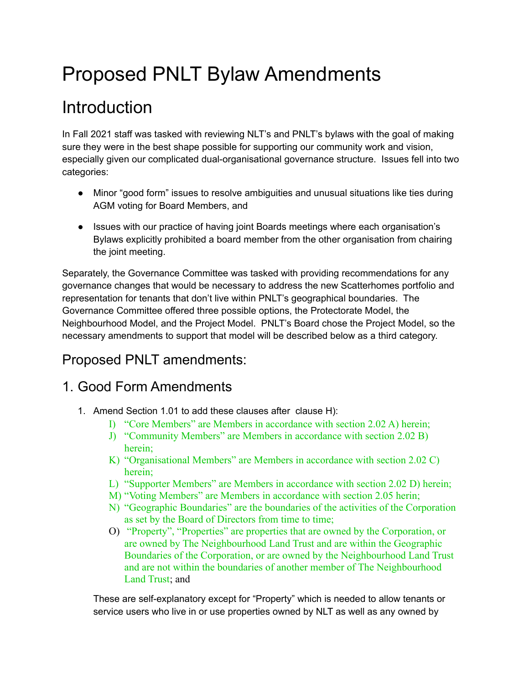# Proposed PNLT Bylaw Amendments

## Introduction

In Fall 2021 staff was tasked with reviewing NLT's and PNLT's bylaws with the goal of making sure they were in the best shape possible for supporting our community work and vision, especially given our complicated dual-organisational governance structure. Issues fell into two categories:

- Minor "good form" issues to resolve ambiguities and unusual situations like ties during AGM voting for Board Members, and
- Issues with our practice of having joint Boards meetings where each organisation's Bylaws explicitly prohibited a board member from the other organisation from chairing the joint meeting.

Separately, the Governance Committee was tasked with providing recommendations for any governance changes that would be necessary to address the new Scatterhomes portfolio and representation for tenants that don't live within PNLT's geographical boundaries. The Governance Committee offered three possible options, the Protectorate Model, the Neighbourhood Model, and the Project Model. PNLT's Board chose the Project Model, so the necessary amendments to support that model will be described below as a third category.

## Proposed PNLT amendments:

## 1. Good Form Amendments

- 1. Amend Section 1.01 to add these clauses after clause H):
	- I) "Core Members" are Members in accordance with section 2.02 A) herein;
	- J) "Community Members" are Members in accordance with section 2.02 B) herein;
	- K) "Organisational Members" are Members in accordance with section 2.02 C) herein;
	- L) "Supporter Members" are Members in accordance with section 2.02 D) herein;
	- M) "Voting Members" are Members in accordance with section 2.05 herin;
	- N) "Geographic Boundaries" are the boundaries of the activities of the Corporation as set by the Board of Directors from time to time;
	- O) "Property", "Properties" are properties that are owned by the Corporation, or are owned by The Neighbourhood Land Trust and are within the Geographic Boundaries of the Corporation, or are owned by the Neighbourhood Land Trust and are not within the boundaries of another member of The Neighbourhood Land Trust; and

These are self-explanatory except for "Property" which is needed to allow tenants or service users who live in or use properties owned by NLT as well as any owned by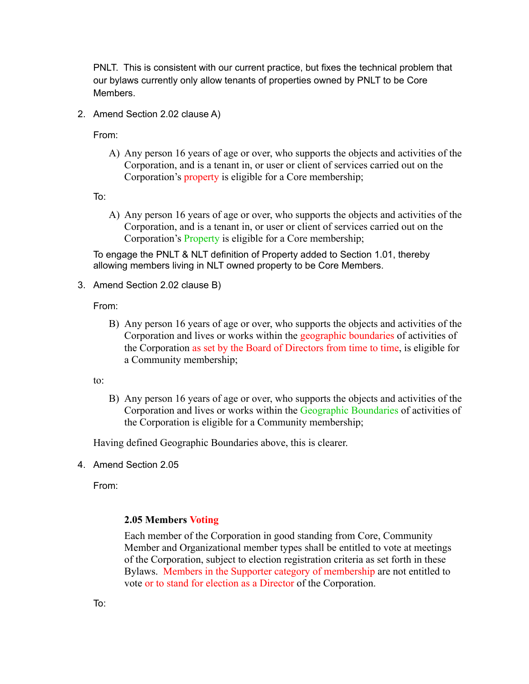PNLT. This is consistent with our current practice, but fixes the technical problem that our bylaws currently only allow tenants of properties owned by PNLT to be Core Members.

2. Amend Section 2.02 clause A)

From:

A) Any person 16 years of age or over, who supports the objects and activities of the Corporation, and is a tenant in, or user or client of services carried out on the Corporation's property is eligible for a Core membership;

To:

A) Any person 16 years of age or over, who supports the objects and activities of the Corporation, and is a tenant in, or user or client of services carried out on the Corporation's Property is eligible for a Core membership;

To engage the PNLT & NLT definition of Property added to Section 1.01, thereby allowing members living in NLT owned property to be Core Members.

3. Amend Section 2.02 clause B)

From:

B) Any person 16 years of age or over, who supports the objects and activities of the Corporation and lives or works within the geographic boundaries of activities of the Corporation as set by the Board of Directors from time to time, is eligible for a Community membership;

to:

B) Any person 16 years of age or over, who supports the objects and activities of the Corporation and lives or works within the Geographic Boundaries of activities of the Corporation is eligible for a Community membership;

Having defined Geographic Boundaries above, this is clearer.

4. Amend Section 2.05

From:

#### **2.05 Members Voting**

Each member of the Corporation in good standing from Core, Community Member and Organizational member types shall be entitled to vote at meetings of the Corporation, subject to election registration criteria as set forth in these Bylaws. Members in the Supporter category of membership are not entitled to vote or to stand for election as a Director of the Corporation.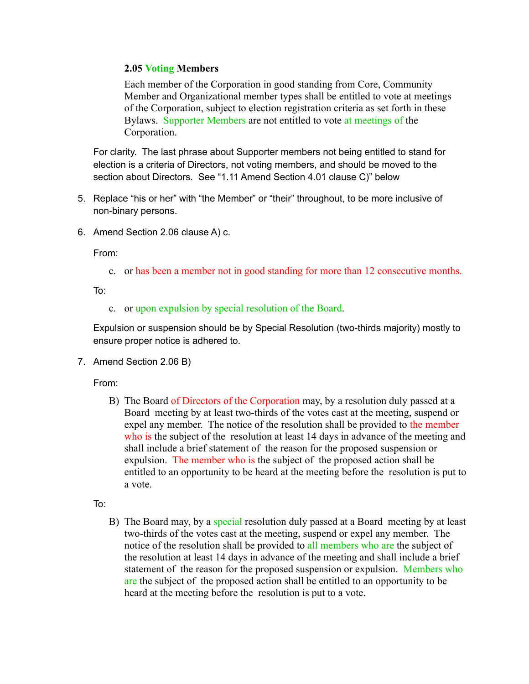#### **2.05 Voting Members**

Each member of the Corporation in good standing from Core, Community Member and Organizational member types shall be entitled to vote at meetings of the Corporation, subject to election registration criteria as set forth in these Bylaws. Supporter Members are not entitled to vote at meetings of the Corporation.

For clarity. The last phrase about Supporter members not being entitled to stand for election is a criteria of Directors, not voting members, and should be moved to the section about Directors. See "1.11 Amend Section 4.01 clause C)" below

- 5. Replace "his or her" with "the Member" or "their" throughout, to be more inclusive of non-binary persons.
- 6. Amend Section 2.06 clause A) c.

From:

c. or has been a member not in good standing for more than 12 consecutive months.

To:

c. or upon expulsion by special resolution of the Board.

Expulsion or suspension should be by Special Resolution (two-thirds majority) mostly to ensure proper notice is adhered to.

7. Amend Section 2.06 B)

From:

B) The Board of Directors of the Corporation may, by a resolution duly passed at a Board meeting by at least two-thirds of the votes cast at the meeting, suspend or expel any member. The notice of the resolution shall be provided to the member who is the subject of the resolution at least 14 days in advance of the meeting and shall include a brief statement of the reason for the proposed suspension or expulsion. The member who is the subject of the proposed action shall be entitled to an opportunity to be heard at the meeting before the resolution is put to a vote.

To:

B) The Board may, by a special resolution duly passed at a Board meeting by at least two-thirds of the votes cast at the meeting, suspend or expel any member. The notice of the resolution shall be provided to all members who are the subject of the resolution at least 14 days in advance of the meeting and shall include a brief statement of the reason for the proposed suspension or expulsion. Members who are the subject of the proposed action shall be entitled to an opportunity to be heard at the meeting before the resolution is put to a vote.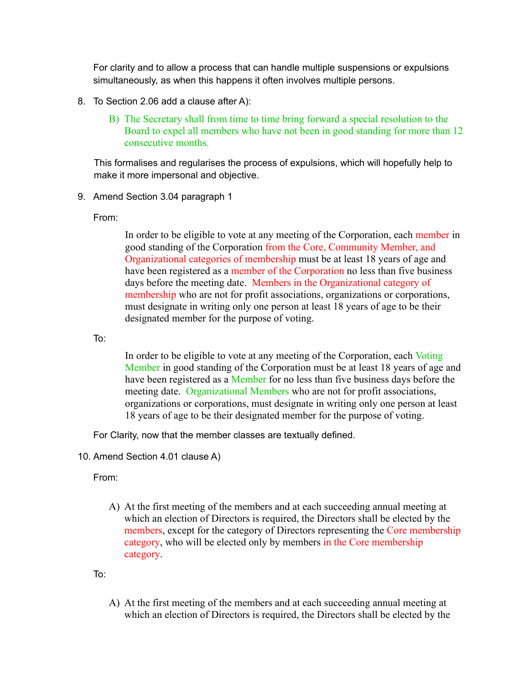For clarity and to allow a process that can handle multiple suspensions or expulsions simultaneously, as when this happens it often involves multiple persons.

- 8. To Section 2.06 add a clause after A):
	- B) The Secretary shall from time to time bring forward a special resolution to the Board to expel all members who have not been in good standing for more than 12 consecutive months.

This formalises and regularises the process of expulsions, which will hopefully help to make it more impersonal and objective.

9. Amend Section 3.04 paragraph 1

From:

In order to be eligible to vote at any meeting of the Corporation, each member in good standing of the Corporation from the Core, Community Member, and Organizational categories of membership must be at least 18 years of age and have been registered as a member of the Corporation no less than five business days before the meeting date. Members in the Organizational category of membership who are not for profit associations, organizations or corporations, must designate in writing only one person at least 18 years of age to be their designated member for the purpose of voting.

To:

In order to be eligible to vote at any meeting of the Corporation, each Voting Member in good standing of the Corporation must be at least 18 years of age and have been registered as a Member for no less than five business days before the meeting date. Organizational Members who are not for profit associations, organizations or corporations, must designate in writing only one person at least 18 years of age to be their designated member for the purpose of voting.

For Clarity, now that the member classes are textually defined.

10. Amend Section 4.01 clause A)

From:

A) At the first meeting of the members and at each succeeding annual meeting at which an election of Directors is required, the Directors shall be elected by the members, except for the category of Directors representing the Core membership category, who will be elected only by members in the Core membership category.

To:

A) At the first meeting of the members and at each succeeding annual meeting at which an election of Directors is required, the Directors shall be elected by the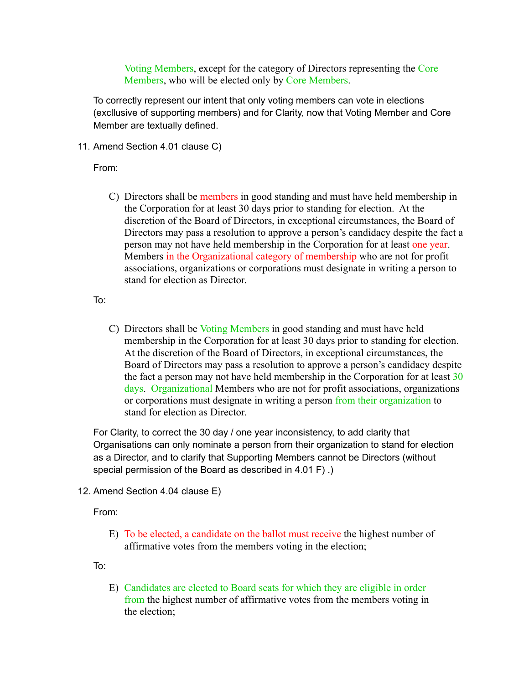Voting Members, except for the category of Directors representing the Core Members, who will be elected only by Core Members.

To correctly represent our intent that only voting members can vote in elections (excllusive of supporting members) and for Clarity, now that Voting Member and Core Member are textually defined.

11. Amend Section 4.01 clause C)

From:

C) Directors shall be members in good standing and must have held membership in the Corporation for at least 30 days prior to standing for election. At the discretion of the Board of Directors, in exceptional circumstances, the Board of Directors may pass a resolution to approve a person's candidacy despite the fact a person may not have held membership in the Corporation for at least one year. Members in the Organizational category of membership who are not for profit associations, organizations or corporations must designate in writing a person to stand for election as Director.

To:

C) Directors shall be Voting Members in good standing and must have held membership in the Corporation for at least 30 days prior to standing for election. At the discretion of the Board of Directors, in exceptional circumstances, the Board of Directors may pass a resolution to approve a person's candidacy despite the fact a person may not have held membership in the Corporation for at least 30 days. Organizational Members who are not for profit associations, organizations or corporations must designate in writing a person from their organization to stand for election as Director.

For Clarity, to correct the 30 day / one year inconsistency, to add clarity that Organisations can only nominate a person from their organization to stand for election as a Director, and to clarify that Supporting Members cannot be Directors (without special permission of the Board as described in 4.01 F) .)

12. Amend Section 4.04 clause E)

From:

E) To be elected, a candidate on the ballot must receive the highest number of affirmative votes from the members voting in the election;

To:

E) Candidates are elected to Board seats for which they are eligible in order from the highest number of affirmative votes from the members voting in the election;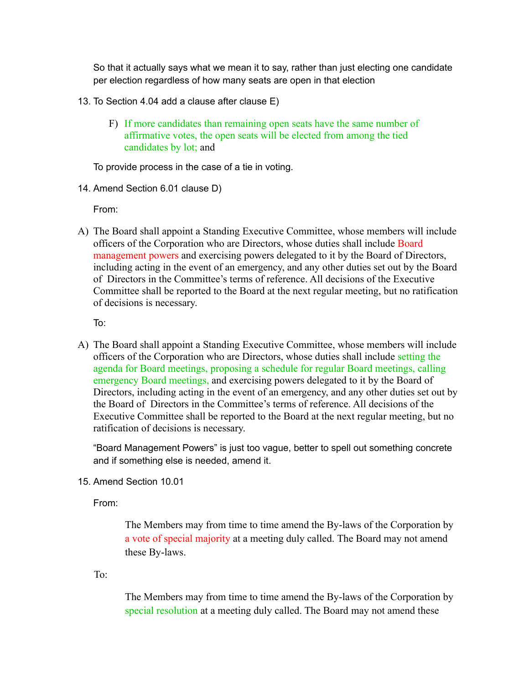So that it actually says what we mean it to say, rather than just electing one candidate per election regardless of how many seats are open in that election

- 13. To Section 4.04 add a clause after clause E)
	- F) If more candidates than remaining open seats have the same number of affirmative votes, the open seats will be elected from among the tied candidates by lot; and

To provide process in the case of a tie in voting.

14. Amend Section 6.01 clause D)

From:

A) The Board shall appoint a Standing Executive Committee, whose members will include officers of the Corporation who are Directors, whose duties shall include Board management powers and exercising powers delegated to it by the Board of Directors, including acting in the event of an emergency, and any other duties set out by the Board of Directors in the Committee's terms of reference. All decisions of the Executive Committee shall be reported to the Board at the next regular meeting, but no ratification of decisions is necessary.

To:

A) The Board shall appoint a Standing Executive Committee, whose members will include officers of the Corporation who are Directors, whose duties shall include setting the agenda for Board meetings, proposing a schedule for regular Board meetings, calling emergency Board meetings, and exercising powers delegated to it by the Board of Directors, including acting in the event of an emergency, and any other duties set out by the Board of Directors in the Committee's terms of reference. All decisions of the Executive Committee shall be reported to the Board at the next regular meeting, but no ratification of decisions is necessary.

"Board Management Powers" is just too vague, better to spell out something concrete and if something else is needed, amend it.

15. Amend Section 10.01

From:

The Members may from time to time amend the By-laws of the Corporation by a vote of special majority at a meeting duly called. The Board may not amend these By-laws.

To:

The Members may from time to time amend the By-laws of the Corporation by special resolution at a meeting duly called. The Board may not amend these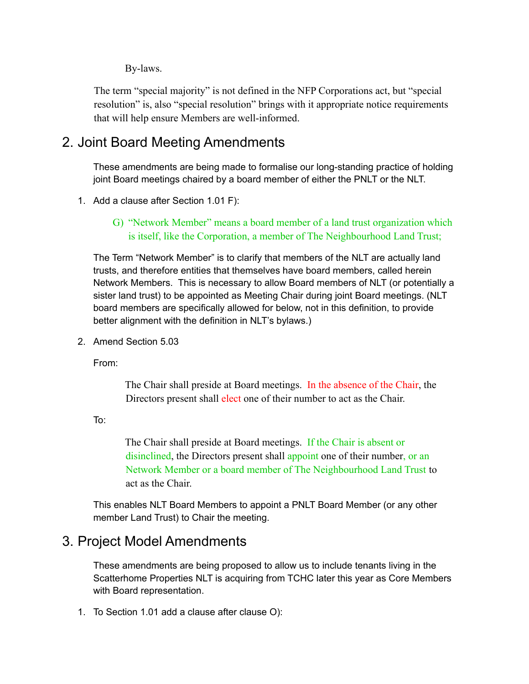By-laws.

The term "special majority" is not defined in the NFP Corporations act, but "special resolution" is, also "special resolution" brings with it appropriate notice requirements that will help ensure Members are well-informed.

## 2. Joint Board Meeting Amendments

These amendments are being made to formalise our long-standing practice of holding joint Board meetings chaired by a board member of either the PNLT or the NLT.

- 1. Add a clause after Section 1.01 F):
	- G) "Network Member" means a board member of a land trust organization which is itself, like the Corporation, a member of The Neighbourhood Land Trust;

The Term "Network Member" is to clarify that members of the NLT are actually land trusts, and therefore entities that themselves have board members, called herein Network Members. This is necessary to allow Board members of NLT (or potentially a sister land trust) to be appointed as Meeting Chair during joint Board meetings. (NLT board members are specifically allowed for below, not in this definition, to provide better alignment with the definition in NLT's bylaws.)

2. Amend Section 5.03

From:

The Chair shall preside at Board meetings. In the absence of the Chair, the Directors present shall elect one of their number to act as the Chair.

To:

The Chair shall preside at Board meetings. If the Chair is absent or disinclined, the Directors present shall appoint one of their number, or an Network Member or a board member of The Neighbourhood Land Trust to act as the Chair.

This enables NLT Board Members to appoint a PNLT Board Member (or any other member Land Trust) to Chair the meeting.

## 3. Project Model Amendments

These amendments are being proposed to allow us to include tenants living in the Scatterhome Properties NLT is acquiring from TCHC later this year as Core Members with Board representation.

1. To Section 1.01 add a clause after clause O):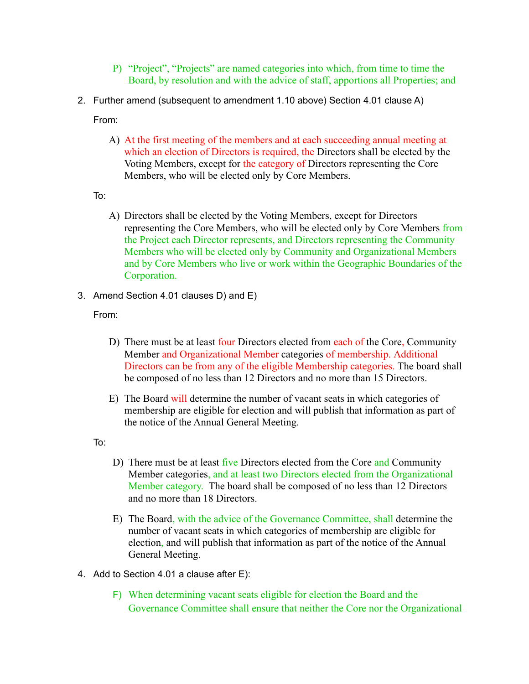- P) "Project", "Projects" are named categories into which, from time to time the Board, by resolution and with the advice of staff, apportions all Properties; and
- 2. Further amend (subsequent to amendment 1.10 above) Section 4.01 clause A)

From:

- A) At the first meeting of the members and at each succeeding annual meeting at which an election of Directors is required, the Directors shall be elected by the Voting Members, except for the category of Directors representing the Core Members, who will be elected only by Core Members.
- To:
	- A) Directors shall be elected by the Voting Members, except for Directors representing the Core Members, who will be elected only by Core Members from the Project each Director represents, and Directors representing the Community Members who will be elected only by Community and Organizational Members and by Core Members who live or work within the Geographic Boundaries of the Corporation.
- 3. Amend Section 4.01 clauses D) and E)

From:

- D) There must be at least four Directors elected from each of the Core, Community Member and Organizational Member categories of membership. Additional Directors can be from any of the eligible Membership categories. The board shall be composed of no less than 12 Directors and no more than 15 Directors.
- E) The Board will determine the number of vacant seats in which categories of membership are eligible for election and will publish that information as part of the notice of the Annual General Meeting.

To:

- D) There must be at least five Directors elected from the Core and Community Member categories, and at least two Directors elected from the Organizational Member category. The board shall be composed of no less than 12 Directors and no more than 18 Directors.
- E) The Board, with the advice of the Governance Committee, shall determine the number of vacant seats in which categories of membership are eligible for election, and will publish that information as part of the notice of the Annual General Meeting.
- 4. Add to Section 4.01 a clause after E):
	- F) When determining vacant seats eligible for election the Board and the Governance Committee shall ensure that neither the Core nor the Organizational